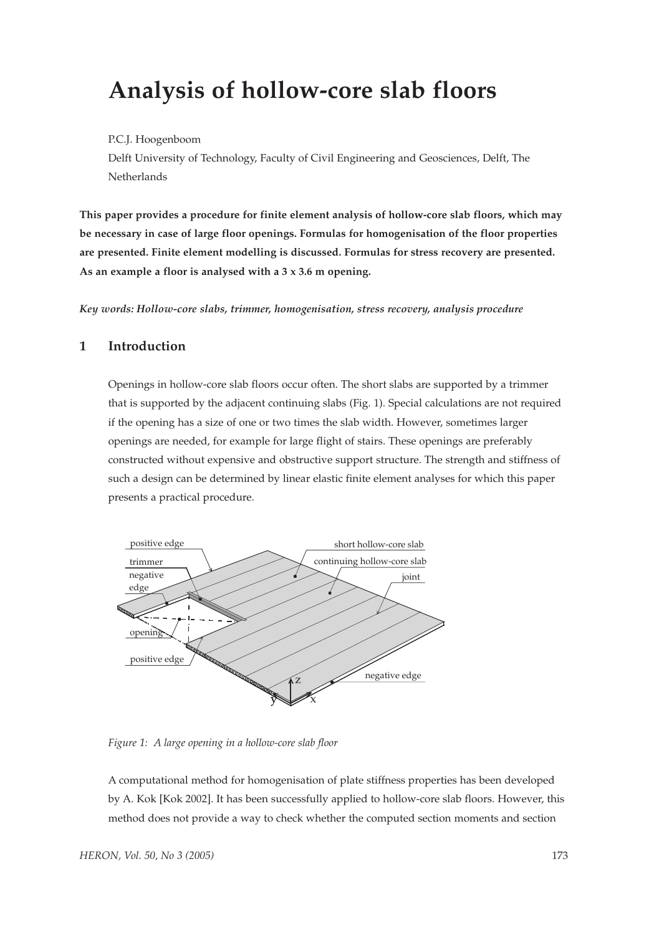# **Analysis of hollow-core slab floors**

#### P.C.J. Hoogenboom

Delft University of Technology, Faculty of Civil Engineering and Geosciences, Delft, The **Netherlands** 

**This paper provides a procedure for finite element analysis of hollow-core slab floors, which may be necessary in case of large floor openings. Formulas for homogenisation of the floor properties are presented. Finite element modelling is discussed. Formulas for stress recovery are presented. As an example a floor is analysed with a 3 x 3.6 m opening.**

*Key words: Hollow-core slabs, trimmer, homogenisation, stress recovery, analysis procedure*

#### **1 Introduction**

Openings in hollow-core slab floors occur often. The short slabs are supported by a trimmer that is supported by the adjacent continuing slabs (Fig. 1). Special calculations are not required if the opening has a size of one or two times the slab width. However, sometimes larger openings are needed, for example for large flight of stairs. These openings are preferably constructed without expensive and obstructive support structure. The strength and stiffness of such a design can be determined by linear elastic finite element analyses for which this paper presents a practical procedure.



*Figure 1: A large opening in a hollow-core slab floor*

A computational method for homogenisation of plate stiffness properties has been developed by A. Kok [Kok 2002]. It has been successfully applied to hollow-core slab floors. However, this method does not provide a way to check whether the computed section moments and section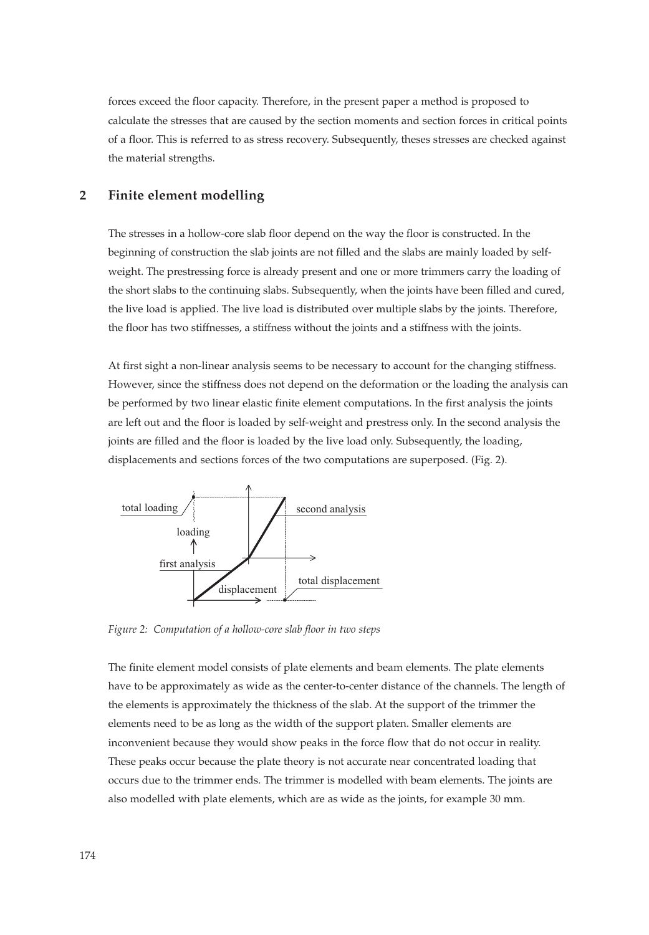forces exceed the floor capacity. Therefore, in the present paper a method is proposed to calculate the stresses that are caused by the section moments and section forces in critical points of a floor. This is referred to as stress recovery. Subsequently, theses stresses are checked against the material strengths.

### **2 Finite element modelling**

The stresses in a hollow-core slab floor depend on the way the floor is constructed. In the beginning of construction the slab joints are not filled and the slabs are mainly loaded by selfweight. The prestressing force is already present and one or more trimmers carry the loading of the short slabs to the continuing slabs. Subsequently, when the joints have been filled and cured, the live load is applied. The live load is distributed over multiple slabs by the joints. Therefore, the floor has two stiffnesses, a stiffness without the joints and a stiffness with the joints.

At first sight a non-linear analysis seems to be necessary to account for the changing stiffness. However, since the stiffness does not depend on the deformation or the loading the analysis can be performed by two linear elastic finite element computations. In the first analysis the joints are left out and the floor is loaded by self-weight and prestress only. In the second analysis the joints are filled and the floor is loaded by the live load only. Subsequently, the loading, displacements and sections forces of the two computations are superposed. (Fig. 2).



*Figure 2: Computation of a hollow-core slab floor in two steps*

The finite element model consists of plate elements and beam elements. The plate elements have to be approximately as wide as the center-to-center distance of the channels. The length of the elements is approximately the thickness of the slab. At the support of the trimmer the elements need to be as long as the width of the support platen. Smaller elements are inconvenient because they would show peaks in the force flow that do not occur in reality. These peaks occur because the plate theory is not accurate near concentrated loading that occurs due to the trimmer ends. The trimmer is modelled with beam elements. The joints are also modelled with plate elements, which are as wide as the joints, for example 30 mm.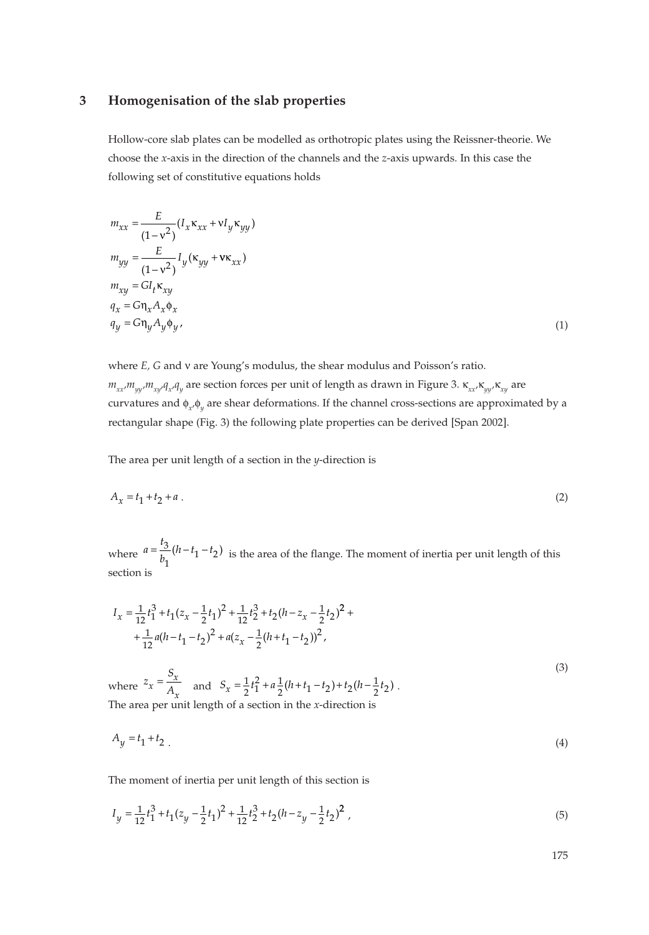#### **3 Homogenisation of the slab properties**

Hollow-core slab plates can be modelled as orthotropic plates using the Reissner-theorie. We choose the *x*-axis in the direction of the channels and the *z*-axis upwards. In this case the following set of constitutive equations holds

$$
m_{xx} = \frac{E}{(1 - v^2)} (I_x \kappa_{xx} + vI_y \kappa_{yy})
$$
  
\n
$$
m_{yy} = \frac{E}{(1 - v^2)} I_y (\kappa_{yy} + v\kappa_{xx})
$$
  
\n
$$
m_{xy} = G I_t \kappa_{xy}
$$
  
\n
$$
q_x = G \eta_x A_x \phi_x
$$
  
\n
$$
q_y = G \eta_y A_y \phi_y
$$
\n(1)

where *E, G* and ν are Young's modulus, the shear modulus and Poisson's ratio. *m<sub>xx</sub>,m<sub>yy</sub>,m<sub>xy</sub>,q<sub>y</sub>,q<sub>y</sub> are section forces per unit of length as drawn in Figure 3. κ<sub><i>xx</sub>*,κ<sub>*yy*</sub>,κ<sub>*xy*</sub> are</sub> curvatures and φ<sub>x</sub>,φ<sub>y</sub> are shear deformations. If the channel cross-sections are approximated by a rectangular shape (Fig. 3) the following plate properties can be derived [Span 2002].

The area per unit length of a section in the *y*-direction is

$$
A_x = t_1 + t_2 + a \tag{2}
$$

where  $a = \frac{t_3}{b_1} (h - t_1 - t_2)$  is the area of the flange. The moment of inertia per unit length of this section is  $\frac{3}{1}(h-t_1-t_2)$ 

$$
I_x = \frac{1}{12}t_1^3 + t_1(z_x - \frac{1}{2}t_1)^2 + \frac{1}{12}t_2^3 + t_2(h - z_x - \frac{1}{2}t_2)^2 +
$$
  
+ 
$$
\frac{1}{12}a(h - t_1 - t_2)^2 + a(z_x - \frac{1}{2}(h + t_1 - t_2))^2,
$$
  
S

where  $z_x = \frac{S_x}{A_x}$  and  $S_x = \frac{1}{2}t_1^2 + a\frac{1}{2}(h+t_1-t_2) + t_2(h-\frac{1}{2}t_2)$ . The area per unit length of a section in the *x*-direction is =

$$
A_y = t_1 + t_2 \tag{4}
$$

The moment of inertia per unit length of this section is

$$
I_y = \frac{1}{12}t_1^3 + t_1(z_y - \frac{1}{2}t_1)^2 + \frac{1}{12}t_2^3 + t_2(h - z_y - \frac{1}{2}t_2)^2,
$$
\n<sup>(5)</sup>

175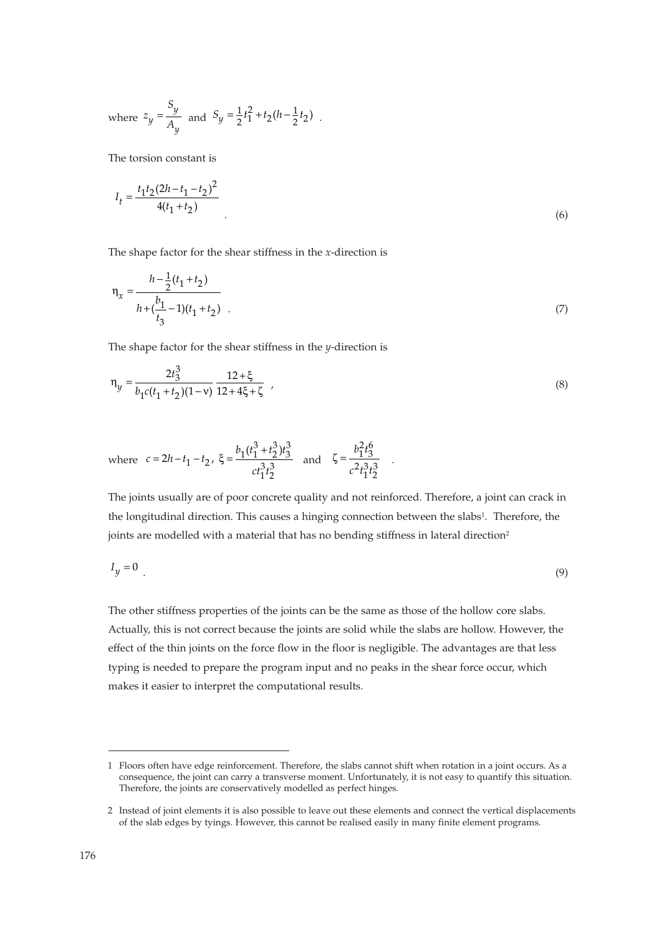where 
$$
z_y = \frac{S_y}{A_y}
$$
 and  $S_y = \frac{1}{2}t_1^2 + t_2(h - \frac{1}{2}t_2)$ .

The torsion constant is

$$
I_t = \frac{t_1 t_2 (2h - t_1 - t_2)^2}{4(t_1 + t_2)}\tag{6}
$$

The shape factor for the shear stiffness in the *x*-direction is

$$
\eta_x = \frac{h - \frac{1}{2}(t_1 + t_2)}{h + (\frac{b_1}{t_3} - 1)(t_1 + t_2)}\tag{7}
$$

The shape factor for the shear stiffness in the *y*-direction is

$$
\eta_y = \frac{2t_3^3}{b_1c(t_1 + t_2)(1 - v)} \frac{12 + \xi}{12 + 4\xi + \zeta} \tag{8}
$$

$$
\text{where} \hspace{0.2cm} c=2h-t_1-t_2 \text{, } \xi=\frac{b_1(t_1^3+t_2^3)t_3^3}{ct_1^3t_2^3} \hspace{0.2cm} \text{and} \hspace{0.2cm} \zeta=\frac{b_1^2t_3^6}{c^2t_1^3t_2^3} \hspace{0.2cm}.
$$

The joints usually are of poor concrete quality and not reinforced. Therefore, a joint can crack in the longitudinal direction. This causes a hinging connection between the slabs<sup>1</sup>. Therefore, the joints are modelled with a material that has no bending stiffness in lateral direction<sup>2</sup>

$$
I_y = 0 \tag{9}
$$

The other stiffness properties of the joints can be the same as those of the hollow core slabs. Actually, this is not correct because the joints are solid while the slabs are hollow. However, the effect of the thin joints on the force flow in the floor is negligible. The advantages are that less typing is needed to prepare the program input and no peaks in the shear force occur, which makes it easier to interpret the computational results.

<sup>1</sup> Floors often have edge reinforcement. Therefore, the slabs cannot shift when rotation in a joint occurs. As a consequence, the joint can carry a transverse moment. Unfortunately, it is not easy to quantify this situation. Therefore, the joints are conservatively modelled as perfect hinges.

<sup>2</sup> Instead of joint elements it is also possible to leave out these elements and connect the vertical displacements of the slab edges by tyings. However, this cannot be realised easily in many finite element programs.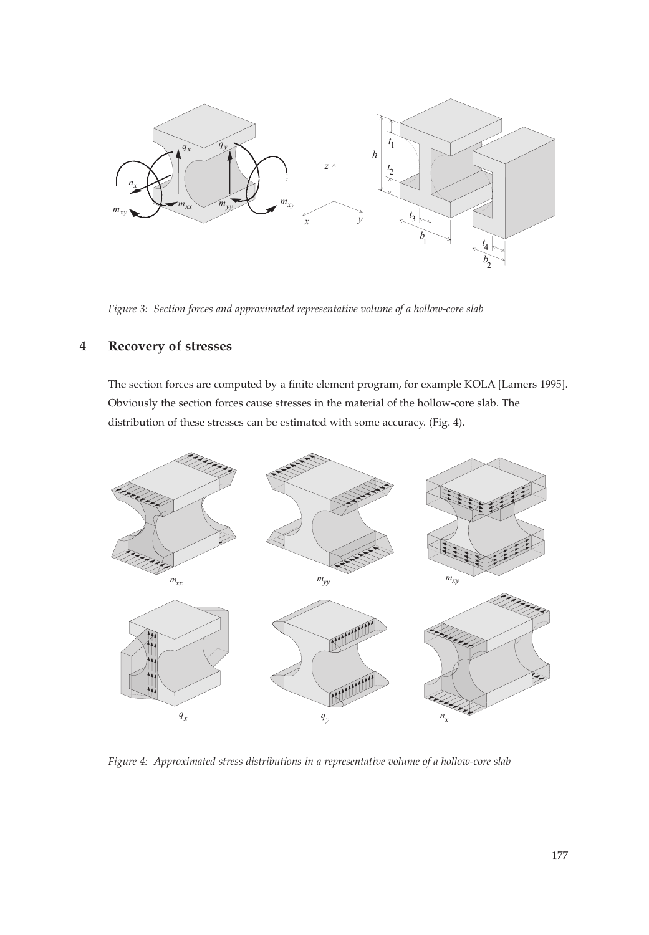

*Figure 3: Section forces and approximated representative volume of a hollow-core slab*

## **4 Recovery of stresses**

The section forces are computed by a finite element program, for example KOLA [Lamers 1995]. Obviously the section forces cause stresses in the material of the hollow-core slab. The distribution of these stresses can be estimated with some accuracy. (Fig. 4).



*Figure 4: Approximated stress distributions in a representative volume of a hollow-core slab*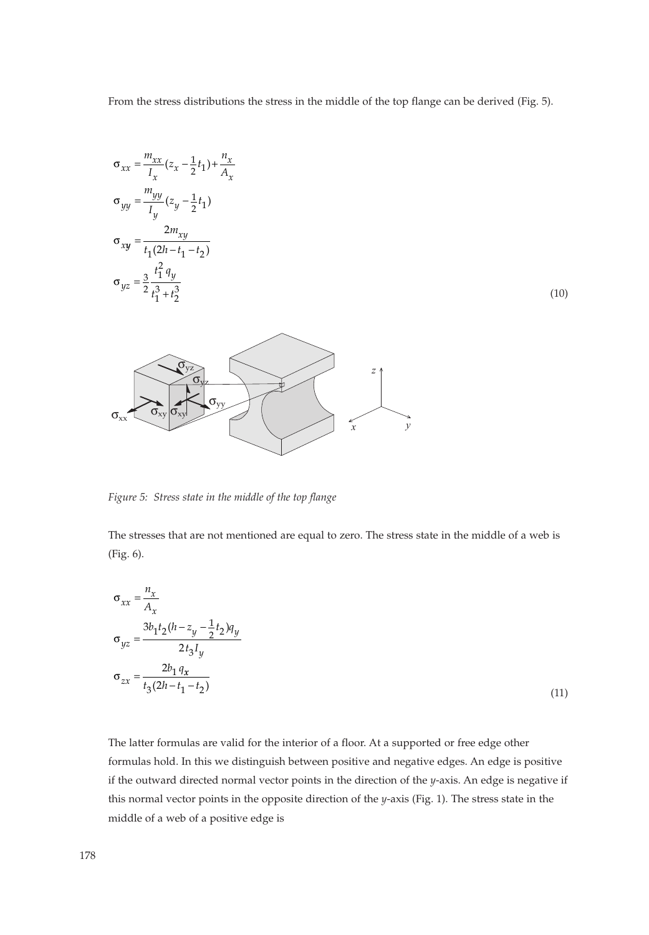From the stress distributions the stress in the middle of the top flange can be derived (Fig. 5).

$$
\sigma_{xx} = \frac{m_{xx}}{I_x} (z_x - \frac{1}{2}t_1) + \frac{n_x}{A_x}
$$

$$
\sigma_{yy} = \frac{m_{yy}}{I_y} (z_y - \frac{1}{2}t_1)
$$

$$
\sigma_{xy} = \frac{2m_{xy}}{t_1(2h - t_1 - t_2)}
$$

$$
\sigma_{yz} = \frac{3}{2} \frac{t_1^2 q_y}{t_1^3 + t_2^3}
$$

(10)



*Figure 5: Stress state in the middle of the top flange*

*n*

The stresses that are not mentioned are equal to zero. The stress state in the middle of a web is (Fig. 6).

$$
\sigma_{xx} = \frac{n_x}{A_x}
$$
  
\n
$$
\sigma_{yz} = \frac{3b_1t_2(h - z_y - \frac{1}{2}t_2)q_y}{2t_3I_y}
$$
  
\n
$$
\sigma_{zx} = \frac{2b_1q_x}{t_3(2h - t_1 - t_2)}
$$
\n(11)

The latter formulas are valid for the interior of a floor. At a supported or free edge other formulas hold. In this we distinguish between positive and negative edges. An edge is positive if the outward directed normal vector points in the direction of the *y*-axis. An edge is negative if this normal vector points in the opposite direction of the *y*-axis (Fig. 1). The stress state in the middle of a web of a positive edge is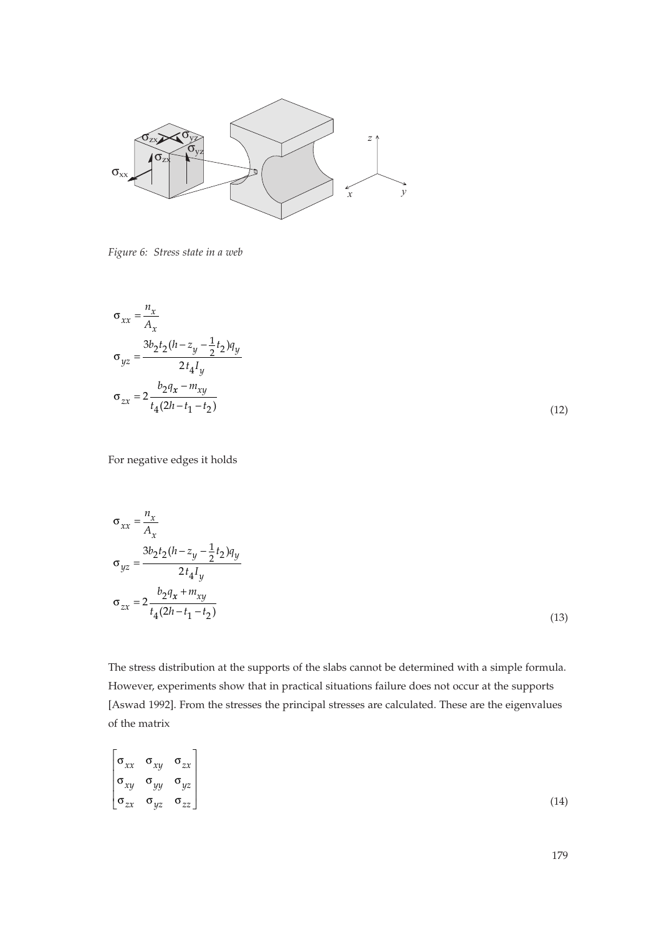

*Figure 6: Stress state in a web*

$$
\sigma_{xx} = \frac{n_x}{A_x}
$$
  
\n
$$
\sigma_{yz} = \frac{3b_2t_2(h-z_y - \frac{1}{2}t_2)q_y}{2t_4I_y}
$$
  
\n
$$
\sigma_{zx} = 2\frac{b_2q_x - m_{xy}}{t_4(2h - t_1 - t_2)}
$$

(12)

For negative edges it holds

$$
\sigma_{xx} = \frac{n_x}{A_x}
$$
  
\n
$$
\sigma_{yz} = \frac{3b_2t_2(h - z_y - \frac{1}{2}t_2)q_y}{2t_4I_y}
$$
  
\n
$$
\sigma_{zx} = 2\frac{b_2q_x + m_{xy}}{t_4(2h - t_1 - t_2)}
$$
\n(13)

The stress distribution at the supports of the slabs cannot be determined with a simple formula. However, experiments show that in practical situations failure does not occur at the supports [Aswad 1992]. From the stresses the principal stresses are calculated. These are the eigenvalues of the matrix

$$
\begin{bmatrix}\n\sigma_{xx} & \sigma_{xy} & \sigma_{zx} \\
\sigma_{xy} & \sigma_{yy} & \sigma_{yz} \\
\sigma_{zx} & \sigma_{yz} & \sigma_{zz}\n\end{bmatrix}
$$
\n(14)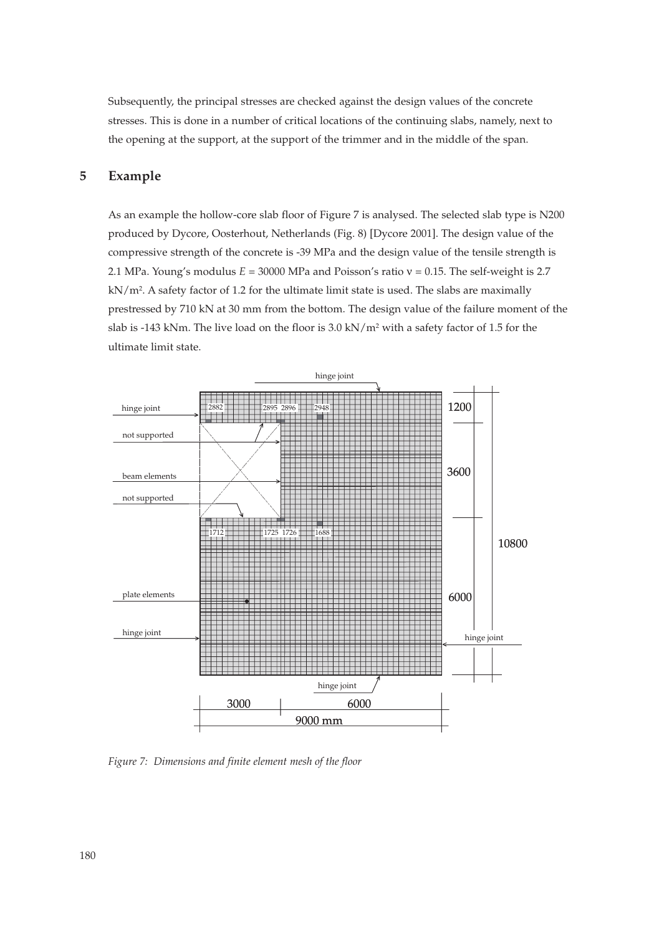Subsequently, the principal stresses are checked against the design values of the concrete stresses. This is done in a number of critical locations of the continuing slabs, namely, next to the opening at the support, at the support of the trimmer and in the middle of the span.

## **5 Example**

As an example the hollow-core slab floor of Figure 7 is analysed. The selected slab type is N200 produced by Dycore, Oosterhout, Netherlands (Fig. 8) [Dycore 2001]. The design value of the compressive strength of the concrete is -39 MPa and the design value of the tensile strength is 2.1 MPa. Young's modulus  $E = 30000$  MPa and Poisson's ratio  $v = 0.15$ . The self-weight is 2.7 kN/m2. A safety factor of 1.2 for the ultimate limit state is used. The slabs are maximally prestressed by 710 kN at 30 mm from the bottom. The design value of the failure moment of the slab is -143 kNm. The live load on the floor is  $3.0 \text{ kN/m}^2$  with a safety factor of 1.5 for the ultimate limit state.



*Figure 7: Dimensions and finite element mesh of the floor*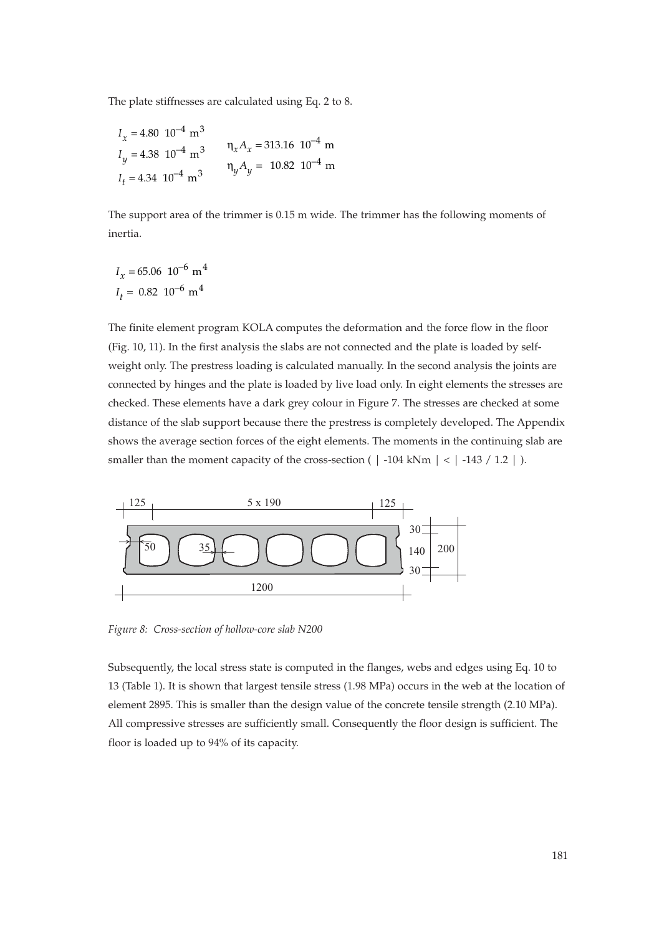The plate stiffnesses are calculated using Eq. 2 to 8.

$$
I_x = 4.80 \, 10^{-4} \, \text{m}^3
$$
\n
$$
I_y = 4.38 \, 10^{-4} \, \text{m}^3
$$
\n
$$
I_t = 4.34 \, 10^{-4} \, \text{m}^3
$$
\n
$$
I_y A_y = 10.82 \, 10^{-4} \, \text{m}
$$

The support area of the trimmer is 0.15 m wide. The trimmer has the following moments of inertia.

$$
I_x = 65.06 \, 10^{-6} \, \text{m}^4
$$
\n
$$
I_t = 0.82 \, 10^{-6} \, \text{m}^4
$$

The finite element program KOLA computes the deformation and the force flow in the floor (Fig. 10, 11). In the first analysis the slabs are not connected and the plate is loaded by selfweight only. The prestress loading is calculated manually. In the second analysis the joints are connected by hinges and the plate is loaded by live load only. In eight elements the stresses are checked. These elements have a dark grey colour in Figure 7. The stresses are checked at some distance of the slab support because there the prestress is completely developed. The Appendix shows the average section forces of the eight elements. The moments in the continuing slab are smaller than the moment capacity of the cross-section ( $\vert$  -104 kNm  $\vert$  <  $\vert$  -143 / 1.2  $\vert$  ).



*Figure 8: Cross-section of hollow-core slab N200*

Subsequently, the local stress state is computed in the flanges, webs and edges using Eq. 10 to 13 (Table 1). It is shown that largest tensile stress (1.98 MPa) occurs in the web at the location of element 2895. This is smaller than the design value of the concrete tensile strength (2.10 MPa). All compressive stresses are sufficiently small. Consequently the floor design is sufficient. The floor is loaded up to 94% of its capacity.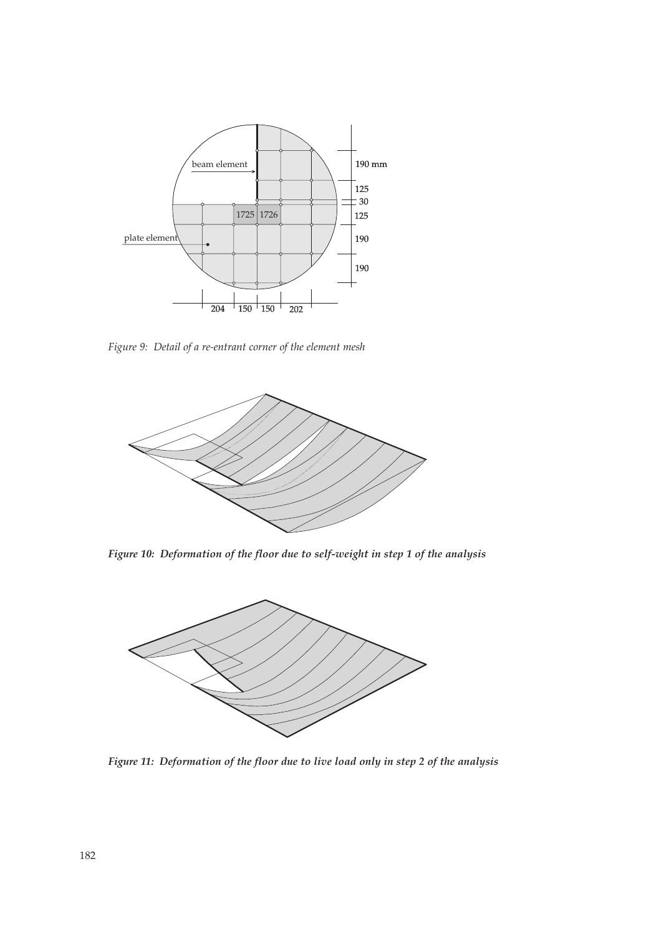

*Figure 9: Detail of a re-entrant corner of the element mesh*



*Figure 10: Deformation of the floor due to self-weight in step 1 of the analysis*



*Figure 11: Deformation of the floor due to live load only in step 2 of the analysis*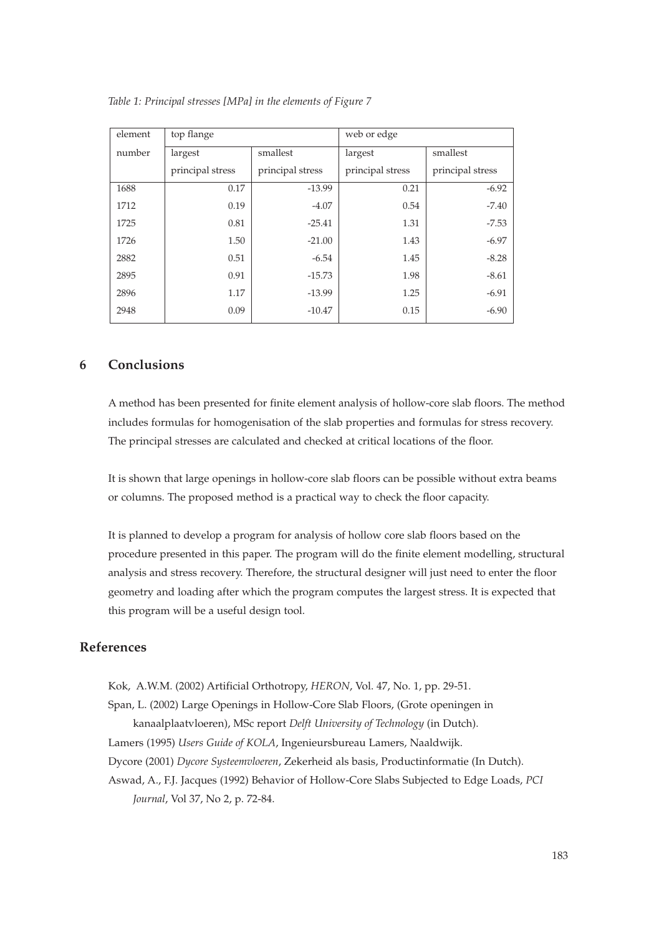| element | top flange       |                  | web or edge      |                  |
|---------|------------------|------------------|------------------|------------------|
| number  | largest          | smallest         | largest          | smallest         |
|         | principal stress | principal stress | principal stress | principal stress |
| 1688    | 0.17             | $-13.99$         | 0.21             | $-6.92$          |
| 1712    | 0.19             | $-4.07$          | 0.54             | $-7.40$          |
| 1725    | 0.81             | $-25.41$         | 1.31             | $-7.53$          |
| 1726    | 1.50             | $-21.00$         | 1.43             | $-6.97$          |
| 2882    | 0.51             | $-6.54$          | 1.45             | $-8.28$          |
| 2895    | 0.91             | $-15.73$         | 1.98             | $-8.61$          |
| 2896    | 1.17             | $-13.99$         | 1.25             | $-6.91$          |
| 2948    | 0.09             | $-10.47$         | 0.15             | $-6.90$          |

*Table 1: Principal stresses [MPa] in the elements of Figure 7*

## **6 Conclusions**

A method has been presented for finite element analysis of hollow-core slab floors. The method includes formulas for homogenisation of the slab properties and formulas for stress recovery. The principal stresses are calculated and checked at critical locations of the floor.

It is shown that large openings in hollow-core slab floors can be possible without extra beams or columns. The proposed method is a practical way to check the floor capacity.

It is planned to develop a program for analysis of hollow core slab floors based on the procedure presented in this paper. The program will do the finite element modelling, structural analysis and stress recovery. Therefore, the structural designer will just need to enter the floor geometry and loading after which the program computes the largest stress. It is expected that this program will be a useful design tool.

## **References**

Kok, A.W.M. (2002) Artificial Orthotropy, *HERON*, Vol. 47, No. 1, pp. 29-51.

Span, L. (2002) Large Openings in Hollow-Core Slab Floors, (Grote openingen in kanaalplaatvloeren), MSc report *Delft University of Technology* (in Dutch).

Lamers (1995) *Users Guide of KOLA*, Ingenieursbureau Lamers, Naaldwijk.

Dycore (2001) *Dycore Systeemvloeren*, Zekerheid als basis, Productinformatie (In Dutch).

Aswad, A., F.J. Jacques (1992) Behavior of Hollow-Core Slabs Subjected to Edge Loads, *PCI Journal*, Vol 37, No 2, p. 72-84.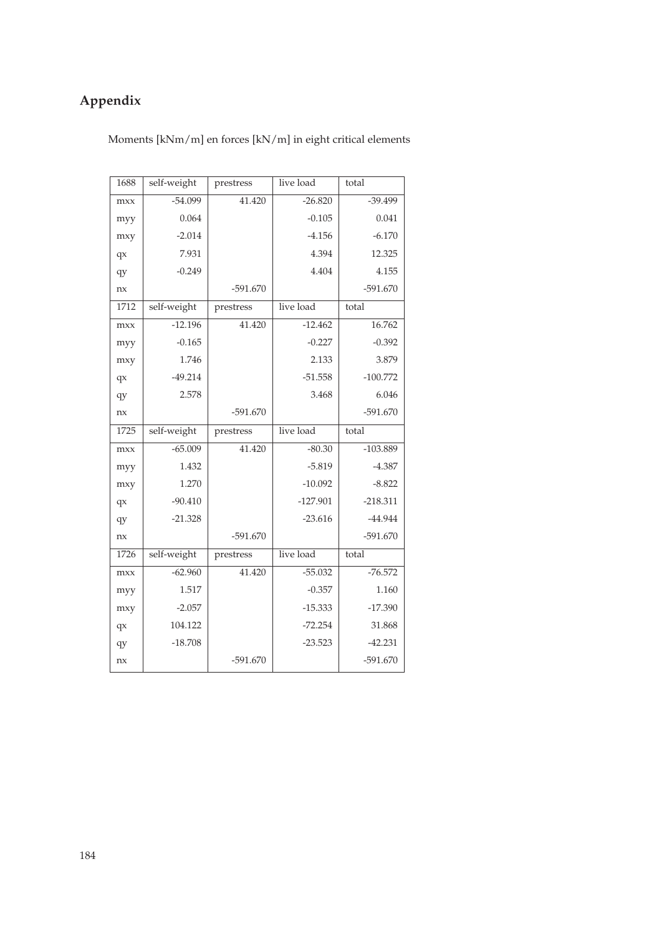## **Appendix**

Moments [kNm/m] en forces [kN/m] in eight critical elements

| 1688 | self-weight | prestress  | live load  | total      |
|------|-------------|------------|------------|------------|
| mxx  | $-54.099$   | 41.420     | $-26.820$  | $-39.499$  |
| myy  | 0.064       |            | $-0.105$   | 0.041      |
| mxy  | $-2.014$    |            | $-4.156$   | $-6.170$   |
| qx   | 7.931       |            | 4.394      | 12.325     |
| qy   | $-0.249$    |            | 4.404      | 4.155      |
| nx   |             | $-591.670$ |            | $-591.670$ |
| 1712 | self-weight | prestress  | live load  | total      |
| mxx  | $-12.196$   | 41.420     | $-12.462$  | 16.762     |
| myy  | $-0.165$    |            | $-0.227$   | $-0.392$   |
| mxy  | 1.746       |            | 2.133      | 3.879      |
| qx   | $-49.214$   |            | $-51.558$  | $-100.772$ |
| qy   | 2.578       |            | 3.468      | 6.046      |
| nx   |             | $-591.670$ |            | $-591.670$ |
|      |             |            |            |            |
| 1725 | self-weight | prestress  | live load  | total      |
| mxx  | $-65.009$   | 41.420     | $-80.30$   | $-103.889$ |
| myy  | 1.432       |            | $-5.819$   | $-4.387$   |
| mxy  | 1.270       |            | $-10.092$  | $-8.822$   |
| qx   | $-90.410$   |            | $-127.901$ | $-218.311$ |
| qy   | $-21.328$   |            | $-23.616$  | $-44.944$  |
| nx   |             | $-591.670$ |            | $-591.670$ |
| 1726 | self-weight | prestress  | live load  | total      |
| mxx  | $-62.960$   | 41.420     | $-55.032$  | $-76.572$  |
| myy  | 1.517       |            | $-0.357$   | 1.160      |
| mxy  | $-2.057$    |            | $-15.333$  | $-17.390$  |
| qx   | 104.122     |            | $-72.254$  | 31.868     |
| qy   | $-18.708$   |            | $-23.523$  | $-42.231$  |
| nx   |             | $-591.670$ |            | $-591.670$ |